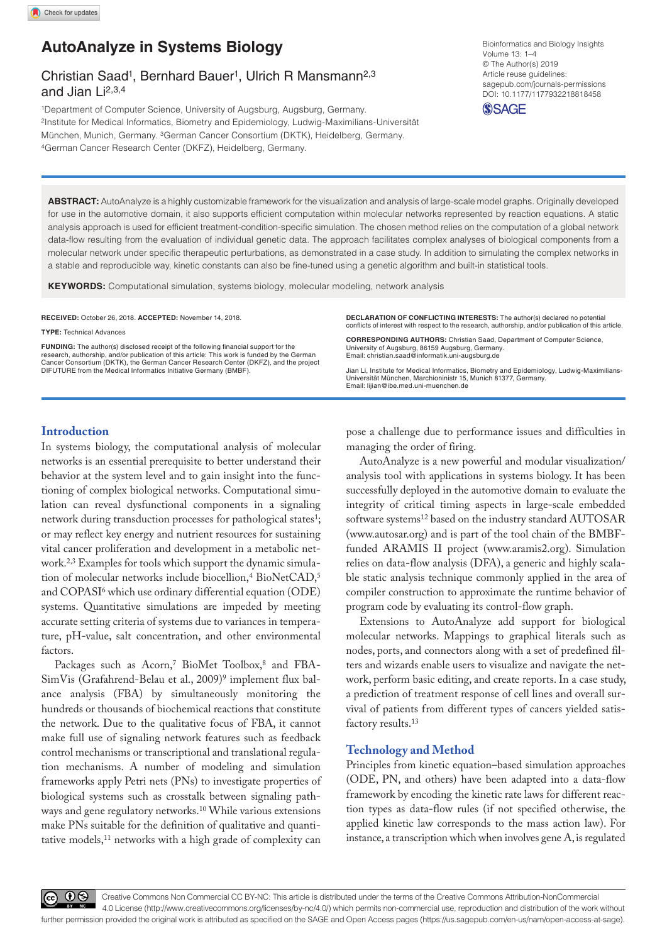# **AutoAnalyze in Systems Biology**

## Christian Saad<sup>1</sup>, Bernhard Bauer<sup>1</sup>, Ulrich R Mansmann<sup>2,3</sup> and Jian Li2,3,4

1Department of Computer Science, University of Augsburg, Augsburg, Germany. 2Institute for Medical Informatics, Biometry and Epidemiology, Ludwig-Maximilians-Universität München, Munich, Germany. 3German Cancer Consortium (DKTK), Heidelberg, Germany. 4German Cancer Research Center (DKFZ), Heidelberg, Germany.

DOI: 10.1177/1177932218818458 Bioinformatics and Biology Insights Volume 13: 1–4 © The Author(s) 2019 Article reuse guidelines: [sagepub.com/journals-permissions](https://uk.sagepub.com/en-gb/journals-permissions)



**ABSTRACT:** AutoAnalyze is a highly customizable framework for the visualization and analysis of large-scale model graphs. Originally developed for use in the automotive domain, it also supports efficient computation within molecular networks represented by reaction equations. A static analysis approach is used for efficient treatment-condition-specific simulation. The chosen method relies on the computation of a global network data-flow resulting from the evaluation of individual genetic data. The approach facilitates complex analyses of biological components from a molecular network under specific therapeutic perturbations, as demonstrated in a case study. In addition to simulating the complex networks in a stable and reproducible way, kinetic constants can also be fine-tuned using a genetic algorithm and built-in statistical tools.

**KEYWORDS:** Computational simulation, systems biology, molecular modeling, network analysis

**RECEIVED:** October 26, 2018. **ACCEPTED:** November 14, 2018.

**Type:** Technical Advances

**FUNDING:** The author(s) disclosed receipt of the following financial support for the research, authorship, and/or publication of this article: This work is funded by the German Cancer Consortium (DKTK), the German Cancer Research Center (DKFZ), and the project DIFUTURE from the Medical Informatics Initiative Germany (BMBF).

**Declaration of conflicting interests:** The author(s) declared no potential conflicts of interest with respect to the research, authorship, and/or publication of this article.

**CORRESPONDING AUTHORs:** Christian Saad, Department of Computer Science, University of Augsburg, 86159 Augsburg, Germany. Email: [christian.saad@informatik.uni-augsburg.de](mailto:christian.saad@informatik.uni-augsburg.de)

Jian Li, Institute for Medical Informatics, Biometry and Epidemiology, Ludwig-Maximilians-Universität München, Marchioninistr 15, Munich 81377, Germany. Email: [lijian@ibe.med.uni-muenchen.de](mailto:lijian@ibe.med.uni-muenchen.de)

## **Introduction**

In systems biology, the computational analysis of molecular networks is an essential prerequisite to better understand their behavior at the system level and to gain insight into the functioning of complex biological networks. Computational simulation can reveal dysfunctional components in a signaling network during transduction processes for pathological states<sup>1</sup>; or may reflect key energy and nutrient resources for sustaining vital cancer proliferation and development in a metabolic network.2,3 Examples for tools which support the dynamic simulation of molecular networks include biocellion,<sup>4</sup> BioNetCAD,<sup>5</sup> and COPASI<sup>6</sup> which use ordinary differential equation (ODE) systems. Quantitative simulations are impeded by meeting accurate setting criteria of systems due to variances in temperature, pH-value, salt concentration, and other environmental factors.

Packages such as Acorn,<sup>7</sup> BioMet Toolbox,<sup>8</sup> and FBA-SimVis (Grafahrend-Belau et al., 2009)<sup>9</sup> implement flux balance analysis (FBA) by simultaneously monitoring the hundreds or thousands of biochemical reactions that constitute the network. Due to the qualitative focus of FBA, it cannot make full use of signaling network features such as feedback control mechanisms or transcriptional and translational regulation mechanisms. A number of modeling and simulation frameworks apply Petri nets (PNs) to investigate properties of biological systems such as crosstalk between signaling pathways and gene regulatory networks.10 While various extensions make PNs suitable for the definition of qualitative and quantitative models,<sup>11</sup> networks with a high grade of complexity can

pose a challenge due to performance issues and difficulties in managing the order of firing.

AutoAnalyze is a new powerful and modular visualization/ analysis tool with applications in systems biology. It has been successfully deployed in the automotive domain to evaluate the integrity of critical timing aspects in large-scale embedded software systems<sup>12</sup> based on the industry standard AUTOSAR [\(www.autosar.org\)](www.autosar.org) and is part of the tool chain of the BMBFfunded ARAMIS II project ([www.aramis2.org](http://www.aramis2.org)). Simulation relies on data-flow analysis (DFA), a generic and highly scalable static analysis technique commonly applied in the area of compiler construction to approximate the runtime behavior of program code by evaluating its control-flow graph.

Extensions to AutoAnalyze add support for biological molecular networks. Mappings to graphical literals such as nodes, ports, and connectors along with a set of predefined filters and wizards enable users to visualize and navigate the network, perform basic editing, and create reports. In a case study, a prediction of treatment response of cell lines and overall survival of patients from different types of cancers yielded satisfactory results.13

## **Technology and Method**

Principles from kinetic equation–based simulation approaches (ODE, PN, and others) have been adapted into a data-flow framework by encoding the kinetic rate laws for different reaction types as data-flow rules (if not specified otherwise, the applied kinetic law corresponds to the mass action law). For instance, a transcription which when involves gene A, is regulated

60 Q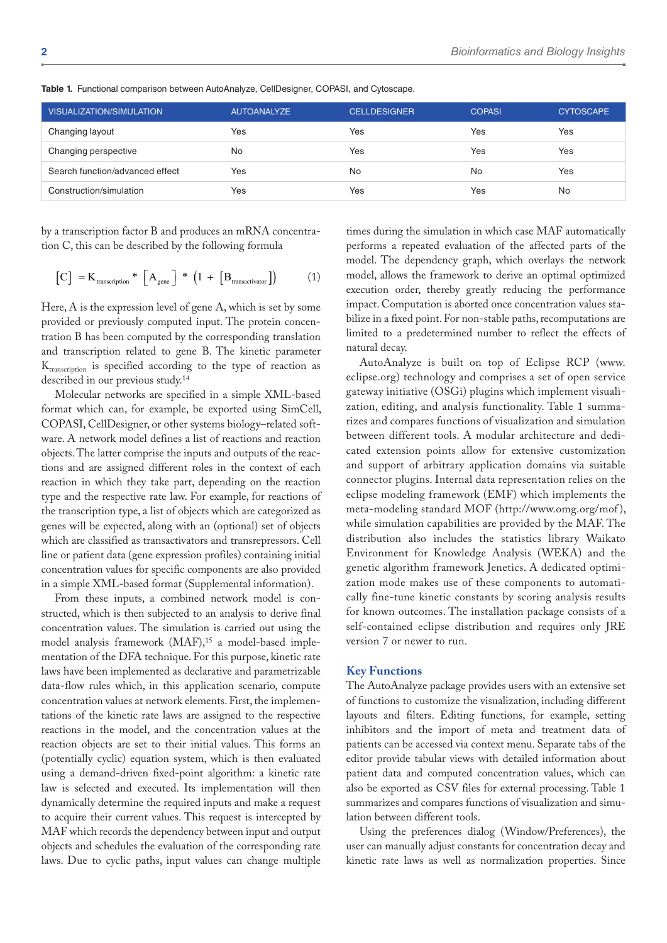| VISUALIZATION/SIMULATION        | <b>AUTOANALYZE</b> | <b>CELLDESIGNER</b> | <b>COPASI</b> | <b>CYTOSCAPE</b> |
|---------------------------------|--------------------|---------------------|---------------|------------------|
| Changing layout                 | Yes                | Yes                 | Yes           | Yes              |
| Changing perspective            | No                 | Yes                 | Yes           | Yes              |
| Search function/advanced effect | Yes                | No                  | No            | Yes              |
| Construction/simulation         | Yes                | Yes                 | Yes           | No               |

**Table 1.** Functional comparison between AutoAnalyze, CellDesigner, COPASI, and Cytoscape.

by a transcription factor B and produces an mRNA concentration C, this can be described by the following formula

$$
\begin{bmatrix} C \end{bmatrix} = K_{transcription} * \begin{bmatrix} A_{gene} \end{bmatrix} * \begin{bmatrix} 1 + \begin{bmatrix} B_{transactivation} \end{bmatrix} \end{bmatrix}
$$
 (1)

Here, A is the expression level of gene A, which is set by some provided or previously computed input. The protein concentration B has been computed by the corresponding translation and transcription related to gene B. The kinetic parameter  $K_{transcription}$  is specified according to the type of reaction as described in our previous study.14

Molecular networks are specified in a simple XML-based format which can, for example, be exported using SimCell, COPASI, CellDesigner, or other systems biology–related software. A network model defines a list of reactions and reaction objects. The latter comprise the inputs and outputs of the reactions and are assigned different roles in the context of each reaction in which they take part, depending on the reaction type and the respective rate law. For example, for reactions of the transcription type, a list of objects which are categorized as genes will be expected, along with an (optional) set of objects which are classified as transactivators and transrepressors. Cell line or patient data (gene expression profiles) containing initial concentration values for specific components are also provided in a simple XML-based format [\(Supplemental information](https://journals.sagepub.com/doi/suppl/10.1177/1177932218818458)).

From these inputs, a combined network model is constructed, which is then subjected to an analysis to derive final concentration values. The simulation is carried out using the model analysis framework (MAF),15 a model-based implementation of the DFA technique. For this purpose, kinetic rate laws have been implemented as declarative and parametrizable data-flow rules which, in this application scenario, compute concentration values at network elements. First, the implementations of the kinetic rate laws are assigned to the respective reactions in the model, and the concentration values at the reaction objects are set to their initial values. This forms an (potentially cyclic) equation system, which is then evaluated using a demand-driven fixed-point algorithm: a kinetic rate law is selected and executed. Its implementation will then dynamically determine the required inputs and make a request to acquire their current values. This request is intercepted by MAF which records the dependency between input and output objects and schedules the evaluation of the corresponding rate laws. Due to cyclic paths, input values can change multiple

times during the simulation in which case MAF automatically performs a repeated evaluation of the affected parts of the model. The dependency graph, which overlays the network model, allows the framework to derive an optimal optimized execution order, thereby greatly reducing the performance impact. Computation is aborted once concentration values stabilize in a fixed point. For non-stable paths, recomputations are limited to a predetermined number to reflect the effects of natural decay.

AutoAnalyze is built on top of Eclipse RCP [\(www.](www.eclipse.org) [eclipse.org\)](www.eclipse.org) technology and comprises a set of open service gateway initiative (OSGi) plugins which implement visualization, editing, and analysis functionality. Table 1 summarizes and compares functions of visualization and simulation between different tools. A modular architecture and dedicated extension points allow for extensive customization and support of arbitrary application domains via suitable connector plugins. Internal data representation relies on the eclipse modeling framework (EMF) which implements the meta-modeling standard MOF [\(http://www.omg.org/mof](http://www.omg.org/mof) ), while simulation capabilities are provided by the MAF. The distribution also includes the statistics library Waikato Environment for Knowledge Analysis (WEKA) and the genetic algorithm framework Jenetics. A dedicated optimization mode makes use of these components to automatically fine-tune kinetic constants by scoring analysis results for known outcomes. The installation package consists of a self-contained eclipse distribution and requires only JRE version 7 or newer to run.

## **Key Functions**

The AutoAnalyze package provides users with an extensive set of functions to customize the visualization, including different layouts and filters. Editing functions, for example, setting inhibitors and the import of meta and treatment data of patients can be accessed via context menu. Separate tabs of the editor provide tabular views with detailed information about patient data and computed concentration values, which can also be exported as CSV files for external processing. Table 1 summarizes and compares functions of visualization and simulation between different tools.

Using the preferences dialog (Window/Preferences), the user can manually adjust constants for concentration decay and kinetic rate laws as well as normalization properties. Since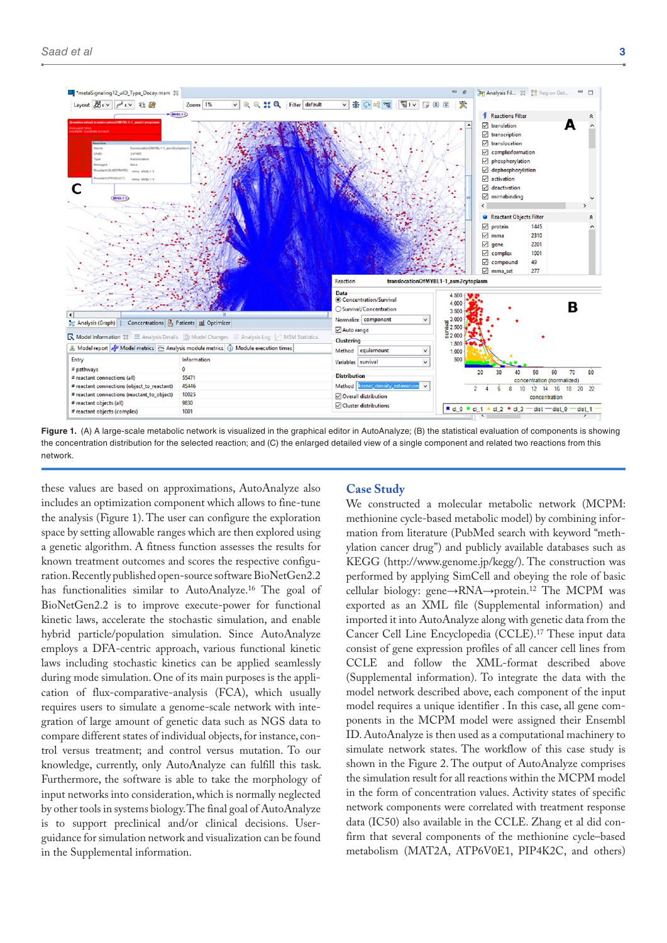

Figure 1. (A) A large-scale metabolic network is visualized in the graphical editor in AutoAnalyze; (B) the statistical evaluation of components is showing the concentration distribution for the selected reaction; and (C) the enlarged detailed view of a single component and related two reactions from this network.

these values are based on approximations, AutoAnalyze also includes an optimization component which allows to fine-tune the analysis (Figure 1). The user can configure the exploration space by setting allowable ranges which are then explored using a genetic algorithm. A fitness function assesses the results for known treatment outcomes and scores the respective configuration. Recently published open-source software BioNetGen2.2 has functionalities similar to AutoAnalyze.<sup>16</sup> The goal of BioNetGen2.2 is to improve execute-power for functional kinetic laws, accelerate the stochastic simulation, and enable hybrid particle/population simulation. Since AutoAnalyze employs a DFA-centric approach, various functional kinetic laws including stochastic kinetics can be applied seamlessly during mode simulation. One of its main purposes is the application of flux-comparative-analysis (FCA), which usually requires users to simulate a genome-scale network with integration of large amount of genetic data such as NGS data to compare different states of individual objects, for instance, control versus treatment; and control versus mutation. To our knowledge, currently, only AutoAnalyze can fulfill this task. Furthermore, the software is able to take the morphology of input networks into consideration, which is normally neglected by other tools in systems biology. The final goal of AutoAnalyze is to support preclinical and/or clinical decisions. Userguidance for simulation network and visualization can be found in the [Supplemental information.](https://journals.sagepub.com/doi/suppl/10.1177/1177932218818458)

## **Case Study**

We constructed a molecular metabolic network (MCPM: methionine cycle-based metabolic model) by combining information from literature (PubMed search with keyword "methylation cancer drug") and publicly available databases such as KEGG (<http://www.genome.jp/kegg/>). The construction was performed by applying SimCell and obeying the role of basic cellular biology: gene→RNA→protein.12 The MCPM was exported as an XML file [\(Supplemental information](https://journals.sagepub.com/doi/suppl/10.1177/1177932218818458)) and imported it into AutoAnalyze along with genetic data from the Cancer Cell Line Encyclopedia (CCLE).17 These input data consist of gene expression profiles of all cancer cell lines from CCLE and follow the XML-format described above [\(Supplemental information](https://journals.sagepub.com/doi/suppl/10.1177/1177932218818458)). To integrate the data with the model network described above, each component of the input model requires a unique identifier . In this case, all gene components in the MCPM model were assigned their Ensembl ID. AutoAnalyze is then used as a computational machinery to simulate network states. The workflow of this case study is shown in the Figure 2. The output of AutoAnalyze comprises the simulation result for all reactions within the MCPM model in the form of concentration values. Activity states of specific network components were correlated with treatment response data (IC50) also available in the CCLE. Zhang et al did confirm that several components of the methionine cycle–based metabolism (MAT2A, ATP6V0E1, PIP4K2C, and others)